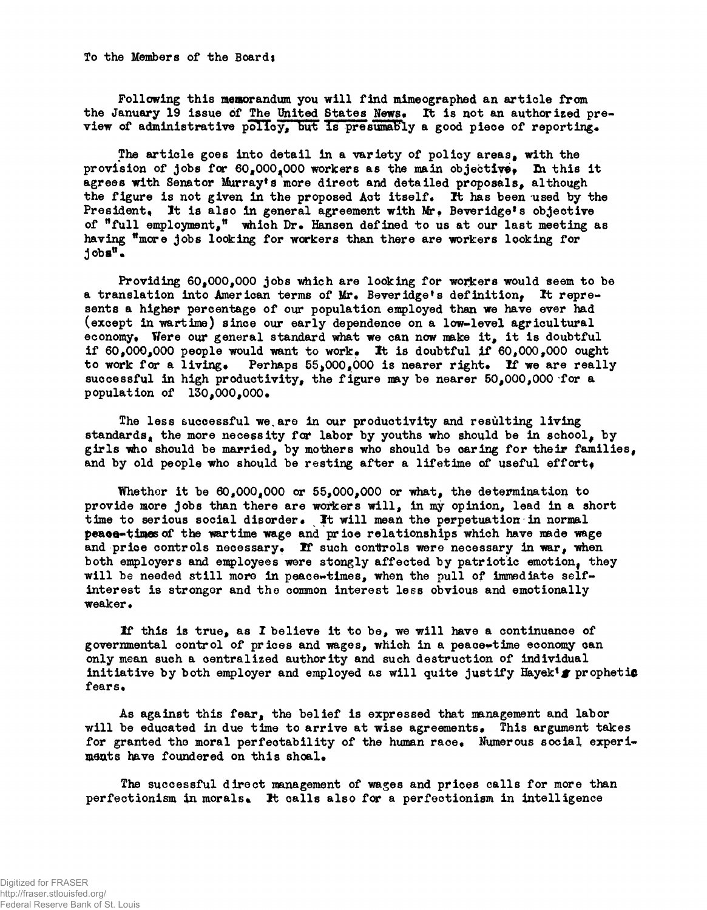**To the Members of the Board:**

**Following this memorandum you will find mimeographed an article from** the January 19 issue of The United States News. It is not an authorized preview of administrative policy, but is presumably a good piece of reporting.

The article goes into detail in a variety of policy areas, with the provision of jobs for  $60*000*000$  workers as the main objective. In this it agrees with Senator Murray<sup>t</sup>s more direct and detailed proposals, although **the figure is not given ixi the proposed Act itself. It has been used by the President\*. It is also in general agreement with Mr\* Beveridge<sup>f</sup> s objective of <sup>w</sup>full employment/<sup>1</sup> which Dr\* Hansen defined to us at our last meeting as having ^more jobs looking for workers than there are workers looking for**  $10b$ **s**<sup>*n*</sup>**.** 

Providing 60,000,000 jobs which are looking for workers would seem to be a translation into American terms of Mr. Beveridge's definition, It repre**sents a higher percentage of our population employed than we have ever had (except in wartime) since our early dependence on a low-level agricultural economy\* Were our general standard what we can now make it, it is doubtful** if  $60,000,000$  people would want to work. It is doubtful if  $60,000,000$  ought to work for a living. Perhaps 55,000,000 is nearer right. If we are really successful in high productivity, the figure may be nearer  $50,000,000$  for a **population of 130,000,000.** 

**The less successful we,are in our productivity and resulting living** standards, the more necessity for labor by youths who should be in school, by girls who should be married, by mothers who should be caring for their families, and by old people who should be resting after a lifetime of useful effort.

Whether it be  $60*000*000$  or  $55*000*000$  or what, the determination to provide more jobs than there are workers will, in my opinion, lead in a short time to serious social disorder. It will mean the perpetuation in normal **peaoa-tiwesof the wartime wage and price relationships which have made wage** and price controls necessary. If such controls were necessary in war, when both employers and employees were stongly affected by patriotic emotion, they will be needed still more in peace-times, when the pull of immediate self**interest is stronger and the common interest less obvious and emotionally weaker\***

If this is true, as I believe it to be, we will have a continuance of governmental control of prices and wages, which in a peace-time economy can **only mean such a centralized authority and such destruction of individual initiative by both employer and employed as will quite justify Hayek<sup>f</sup> # prophetie** fears.

As against this fear, the belief is expressed that management and labor will be educated in due time to arrive at wise agreements. This argument takes for granted the moral perfectability of the human race. Numerous social experi**ments have foundered on this shoal\***

**The successful direct management of wages and prices calls for more than perfectionism in morals\*. It calls also for a perfectionism in intelligence**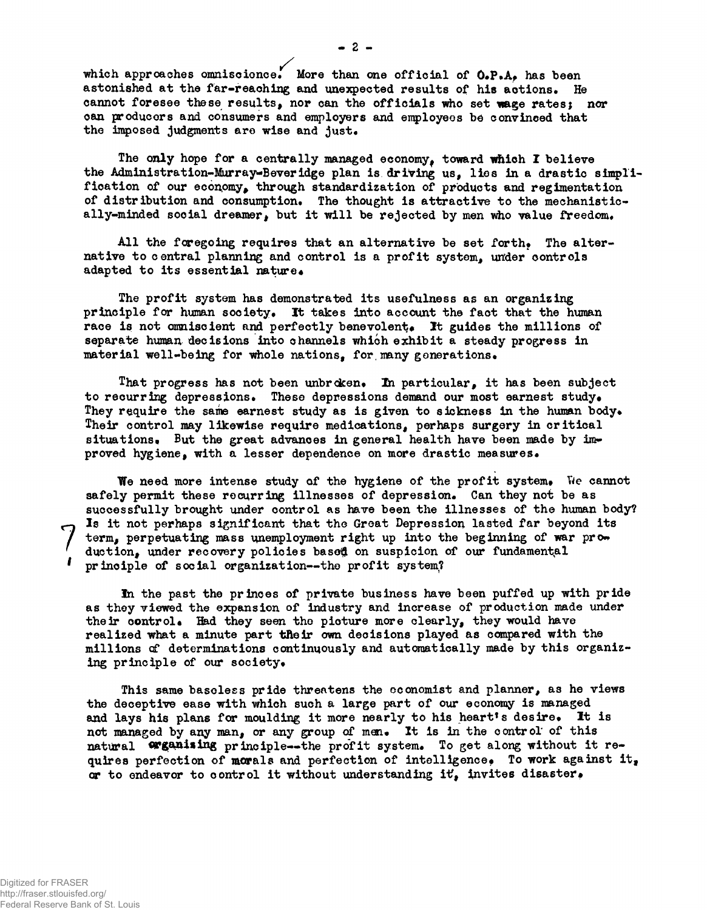**/** which approaches omniscience. More than one official of **O.P.A**, has been astonished at the far-reaching and unexpected results of his actions. He **cannot foresee these results, nor can the officials who set wage rates; nor can producers and consumers and employers and employees be convinced that** the imposed judgments are wise and just.

**The only hope for a centrally managed economy^ toward which I believe the Administration-Murray-Beverldge plan is driving us, lies in a drastic simpli**fication of our economy, through standardization of products and regimentation of distribution and consumption. The thought is attractive to the mechanistically-minded social dreamer, but it will be rejected by men who value freedom.

All the foregoing requires that an alternative be set forth. The alter**native to central planning and control is a profit system, under controls** adapted to its essential nature.

**The profit system has demonstrated its usefulness as an organizing principle for human society\* It takes into account the fact that the human** race is not omniscient and perfectly benevolent. It guides the millions of separate human decisions into channels which exhibit a steady progress in material well-being for whole nations, for many generations.

**That progress has not been unbroken\*** *Ixi* **particular, it has been subject** to recurring depressions. These depressions demand our most earnest study. They require the same earnest study as is given to sickness in the human body. **Their control may likewise require medications, perhaps surgery in critical** situations. But the great advances in general health have been made by im**proved hygiene, with a lesser dependence on more drastic measures\***

We need more intense study of the hygiene of the profit system. We cannot safely permit these recurring illnesses of depression. Can they not be as **successfully brought under control as have been the illnesses of the human body? Is it not perhaps significant that the Great Depression lasted far beyond its term, perpetuating mass unemployment right up into the beginning of war prow** duction, under recovery policies based on suspicion of our fundamental **principle of social organization—the profit system?**

**In the past the princes of private business have been puffed up with pride as they viewed the expansion of industry and increase of production made under** their control. Had they seen the picture more clearly, they would have **realized what a minute part tReir own decisions played as compared with the** millions of determinations continuously and automatically made by this organizing principle of our society.

**This same baseless pride threatens the economist and planner, as he views the deceptive ease with which such a large part of our economy is managed** and lays his plans for moulding it more nearly to his heart's desire. It is not managed by any man, or any group of men. It is in the control of this natural **Wganising** principle--the profit system. To get along without it re**quires perfection of morals and perfection of intelligence\* To work against it<sup>t</sup> or to endeavor to control it without understanding it?, invites disaster\***

**7**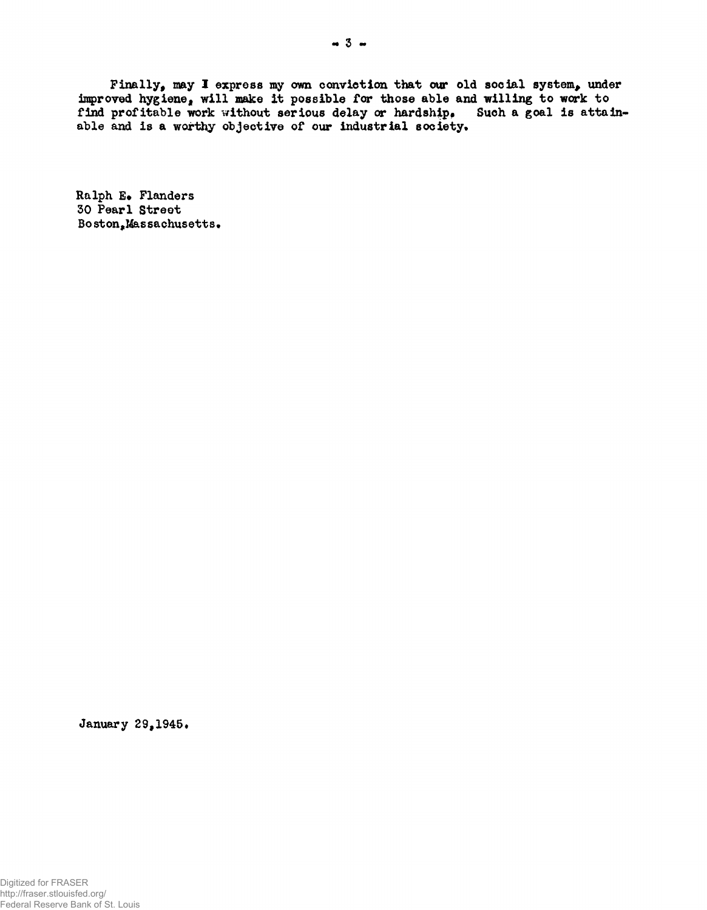Finally, may I express my own conviction that our old social system, under **improved hygiene, will make it possible for those able and willing to work to** find profitable work without serious delay or hardship. Such a goal is attainable and is a worthy objective of our industrial society.

**Ralph E» Flanders 50 Pearl Street Boston,Massachusetts\***

January 29,1945.